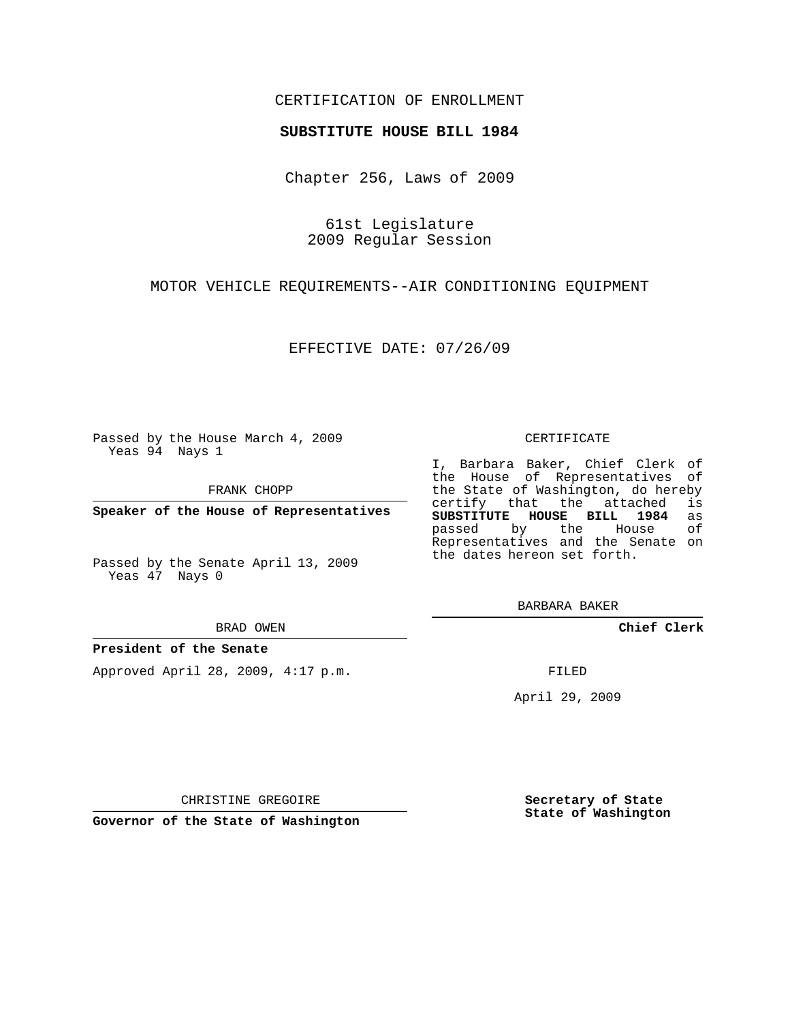# CERTIFICATION OF ENROLLMENT

## **SUBSTITUTE HOUSE BILL 1984**

Chapter 256, Laws of 2009

61st Legislature 2009 Regular Session

MOTOR VEHICLE REQUIREMENTS--AIR CONDITIONING EQUIPMENT

EFFECTIVE DATE: 07/26/09

Passed by the House March 4, 2009 Yeas 94 Nays 1

FRANK CHOPP

**Speaker of the House of Representatives**

Passed by the Senate April 13, 2009 Yeas 47 Nays 0

#### BRAD OWEN

## **President of the Senate**

Approved April 28, 2009, 4:17 p.m.

#### CERTIFICATE

I, Barbara Baker, Chief Clerk of the House of Representatives of the State of Washington, do hereby<br>certify that the attached is certify that the attached **SUBSTITUTE HOUSE BILL 1984** as passed by the Representatives and the Senate on the dates hereon set forth.

BARBARA BAKER

**Chief Clerk**

FILED

April 29, 2009

**Secretary of State State of Washington**

CHRISTINE GREGOIRE

**Governor of the State of Washington**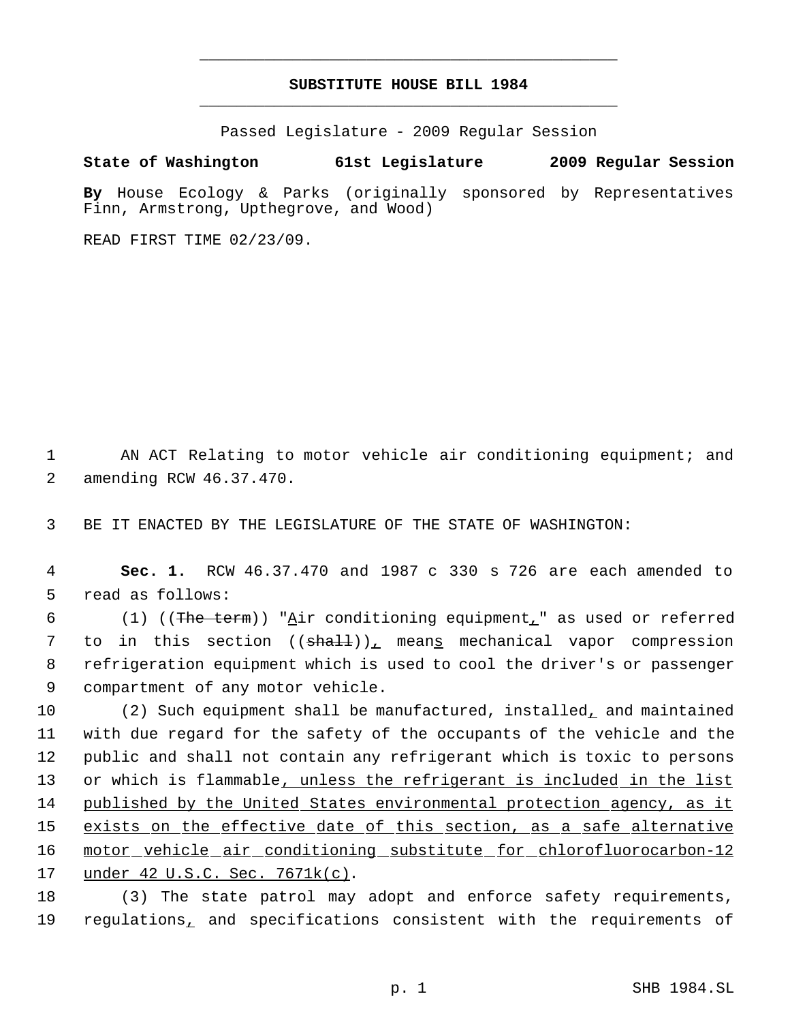# **SUBSTITUTE HOUSE BILL 1984** \_\_\_\_\_\_\_\_\_\_\_\_\_\_\_\_\_\_\_\_\_\_\_\_\_\_\_\_\_\_\_\_\_\_\_\_\_\_\_\_\_\_\_\_\_

\_\_\_\_\_\_\_\_\_\_\_\_\_\_\_\_\_\_\_\_\_\_\_\_\_\_\_\_\_\_\_\_\_\_\_\_\_\_\_\_\_\_\_\_\_

Passed Legislature - 2009 Regular Session

**State of Washington 61st Legislature 2009 Regular Session**

**By** House Ecology & Parks (originally sponsored by Representatives Finn, Armstrong, Upthegrove, and Wood)

READ FIRST TIME 02/23/09.

1 AN ACT Relating to motor vehicle air conditioning equipment; and 2 amending RCW 46.37.470.

3 BE IT ENACTED BY THE LEGISLATURE OF THE STATE OF WASHINGTON:

 4 **Sec. 1.** RCW 46.37.470 and 1987 c 330 s 726 are each amended to 5 read as follows:

6 (1) ((The term)) "Air conditioning equipment," as used or referred 7 to in this section ((<del>shall</del>)), mean<u>s</u> mechanical vapor compression 8 refrigeration equipment which is used to cool the driver's or passenger 9 compartment of any motor vehicle.

 (2) Such equipment shall be manufactured, installed, and maintained with due regard for the safety of the occupants of the vehicle and the public and shall not contain any refrigerant which is toxic to persons 13 or which is flammable, unless the refrigerant is included in the list published by the United States environmental protection agency, as it 15 exists on the effective date of this section, as a safe alternative motor vehicle air conditioning substitute for chlorofluorocarbon-12 under 42 U.S.C. Sec. 7671k(c).

18 (3) The state patrol may adopt and enforce safety requirements, 19 regulations, and specifications consistent with the requirements of